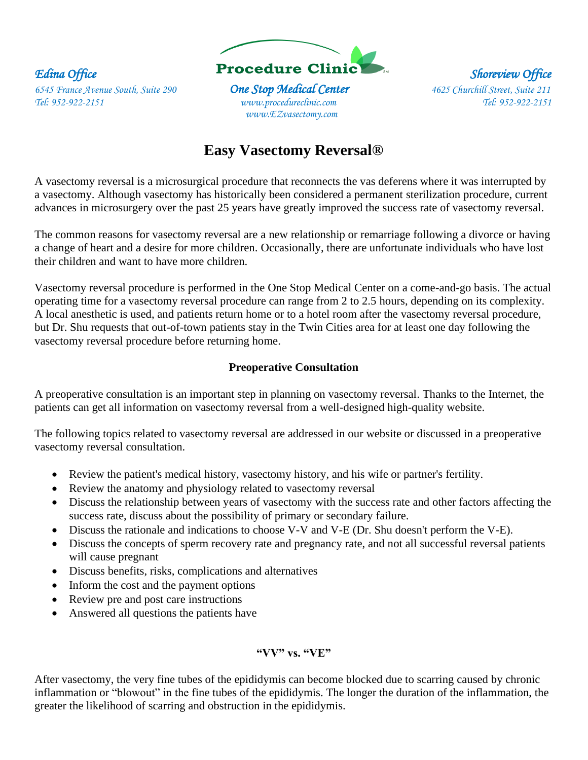

 *www.EZvasectomy.com* 

# **Easy Vasectomy Reversal®**

A vasectomy reversal is a microsurgical procedure that reconnects the vas deferens where it was interrupted by a vasectomy. Although vasectomy has historically been considered a permanent sterilization procedure, current advances in microsurgery over the past 25 years have greatly improved the success rate of vasectomy reversal.

The common reasons for vasectomy reversal are a new relationship or remarriage following a divorce or having a change of heart and a desire for more children. Occasionally, there are unfortunate individuals who have lost their children and want to have more children.

Vasectomy reversal procedure is performed in the One Stop Medical Center on a come-and-go basis. The actual operating time for a vasectomy reversal procedure can range from 2 to 2.5 hours, depending on its complexity. A local anesthetic is used, and patients return home or to a hotel room after the vasectomy reversal procedure, but Dr. Shu requests that out-of-town patients stay in the Twin Cities area for at least one day following the vasectomy reversal procedure before returning home.

## **Preoperative Consultation**

A preoperative consultation is an important step in planning on vasectomy reversal. Thanks to the Internet, the patients can get all information on vasectomy reversal from a well-designed high-quality website.

The following topics related to vasectomy reversal are addressed in our website or discussed in a preoperative vasectomy reversal consultation.

- Review the patient's medical history, vasectomy history, and his wife or partner's fertility.
- Review the anatomy and physiology related to vasectomy reversal
- Discuss the relationship between years of vasectomy with the success rate and other factors affecting the success rate, discuss about the possibility of primary or secondary failure.
- Discuss the rationale and indications to choose V-V and V-E (Dr. Shu doesn't perform the V-E).
- Discuss the concepts of sperm recovery rate and pregnancy rate, and not all successful reversal patients will cause pregnant
- Discuss benefits, risks, complications and alternatives
- Inform the cost and the payment options
- Review pre and post care instructions
- Answered all questions the patients have

# **"VV" vs. "VE"**

After vasectomy, the very fine tubes of the epididymis can become blocked due to scarring caused by chronic inflammation or "blowout" in the fine tubes of the epididymis. The longer the duration of the inflammation, the greater the likelihood of scarring and obstruction in the epididymis.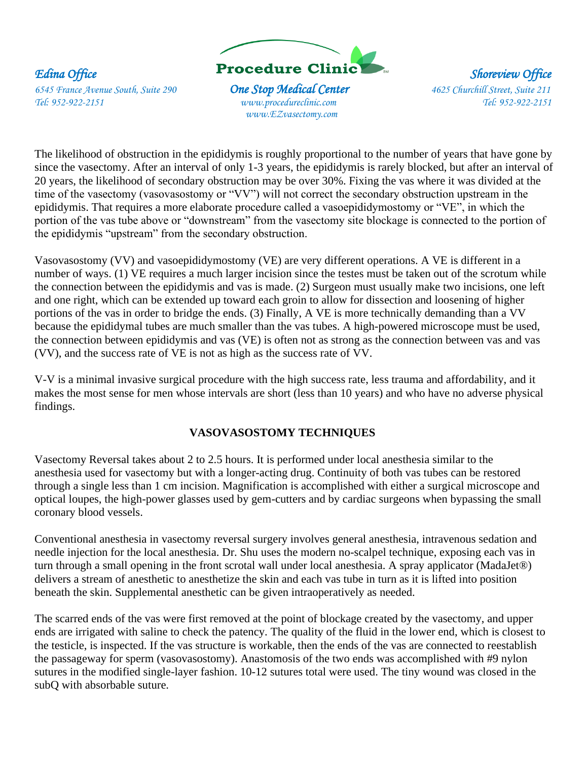

 *www.EZvasectomy.com* 

The likelihood of obstruction in the epididymis is roughly proportional to the number of years that have gone by since the vasectomy. After an interval of only 1-3 years, the epididymis is rarely blocked, but after an interval of 20 years, the likelihood of secondary obstruction may be over 30%. Fixing the vas where it was divided at the time of the vasectomy (vasovasostomy or "VV") will not correct the secondary obstruction upstream in the epididymis. That requires a more elaborate procedure called a vasoepididymostomy or "VE", in which the portion of the vas tube above or "downstream" from the vasectomy site blockage is connected to the portion of the epididymis "upstream" from the secondary obstruction.

Vasovasostomy (VV) and vasoepididymostomy (VE) are very different operations. A VE is different in a number of ways. (1) VE requires a much larger incision since the testes must be taken out of the scrotum while the connection between the epididymis and vas is made. (2) Surgeon must usually make two incisions, one left and one right, which can be extended up toward each groin to allow for dissection and loosening of higher portions of the vas in order to bridge the ends. (3) Finally, A VE is more technically demanding than a VV because the epididymal tubes are much smaller than the vas tubes. A high-powered microscope must be used, the connection between epididymis and vas (VE) is often not as strong as the connection between vas and vas (VV), and the success rate of VE is not as high as the success rate of VV.

V-V is a minimal invasive surgical procedure with the high success rate, less trauma and affordability, and it makes the most sense for men whose intervals are short (less than 10 years) and who have no adverse physical findings.

# **VASOVASOSTOMY TECHNIQUES**

Vasectomy Reversal takes about 2 to 2.5 hours. It is performed under local anesthesia similar to the anesthesia used for vasectomy but with a longer-acting drug. Continuity of both vas tubes can be restored through a single less than 1 cm incision. Magnification is accomplished with either a surgical microscope and optical loupes, the high-power glasses used by gem-cutters and by cardiac surgeons when bypassing the small coronary blood vessels.

Conventional anesthesia in vasectomy reversal surgery involves general anesthesia, intravenous sedation and needle injection for the local anesthesia. Dr. Shu uses the modern no-scalpel technique, exposing each vas in turn through a small opening in the front scrotal wall under local anesthesia. A spray applicator (MadaJet®) delivers a stream of anesthetic to anesthetize the skin and each vas tube in turn as it is lifted into position beneath the skin. Supplemental anesthetic can be given intraoperatively as needed.

The scarred ends of the vas were first removed at the point of blockage created by the vasectomy, and upper ends are irrigated with saline to check the patency. The quality of the fluid in the lower end, which is closest to the testicle, is inspected. If the vas structure is workable, then the ends of the vas are connected to reestablish the passageway for sperm (vasovasostomy). Anastomosis of the two ends was accomplished with #9 nylon sutures in the modified single-layer fashion. 10-12 sutures total were used. The tiny wound was closed in the subQ with absorbable suture.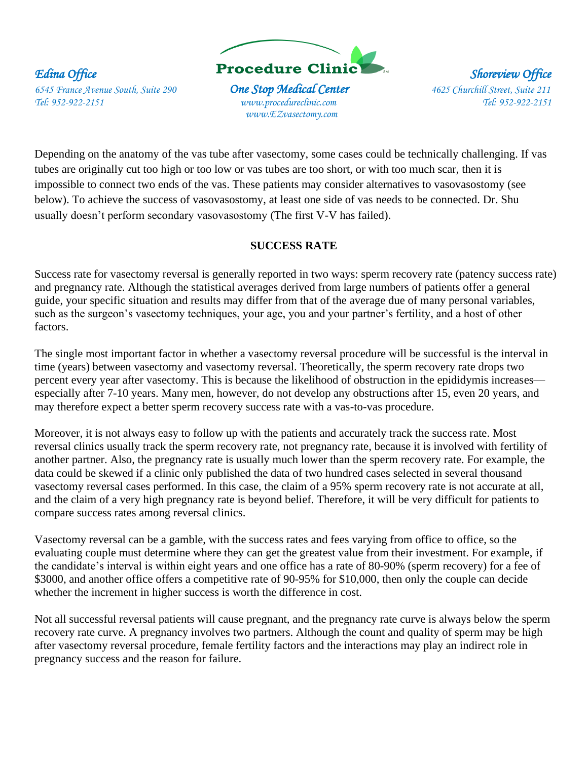

 *www.EZvasectomy.com* 

Depending on the anatomy of the vas tube after vasectomy, some cases could be technically challenging. If vas tubes are originally cut too high or too low or vas tubes are too short, or with too much scar, then it is impossible to connect two ends of the vas. These patients may consider alternatives to vasovasostomy (see below). To achieve the success of vasovasostomy, at least one side of vas needs to be connected. Dr. Shu usually doesn't perform secondary vasovasostomy (The first V-V has failed).

# **SUCCESS RATE**

Success rate for vasectomy reversal is generally reported in two ways: sperm recovery rate (patency success rate) and pregnancy rate. Although the statistical averages derived from large numbers of patients offer a general guide, your specific situation and results may differ from that of the average due of many personal variables, such as the surgeon's vasectomy techniques, your age, you and your partner's fertility, and a host of other factors.

The single most important factor in whether a vasectomy reversal procedure will be successful is the interval in time (years) between vasectomy and vasectomy reversal. Theoretically, the sperm recovery rate drops two percent every year after vasectomy. This is because the likelihood of obstruction in the epididymis increases especially after 7-10 years. Many men, however, do not develop any obstructions after 15, even 20 years, and may therefore expect a better sperm recovery success rate with a vas-to-vas procedure.

Moreover, it is not always easy to follow up with the patients and accurately track the success rate. Most reversal clinics usually track the sperm recovery rate, not pregnancy rate, because it is involved with fertility of another partner. Also, the pregnancy rate is usually much lower than the sperm recovery rate. For example, the data could be skewed if a clinic only published the data of two hundred cases selected in several thousand vasectomy reversal cases performed. In this case, the claim of a 95% sperm recovery rate is not accurate at all, and the claim of a very high pregnancy rate is beyond belief. Therefore, it will be very difficult for patients to compare success rates among reversal clinics.

Vasectomy reversal can be a gamble, with the success rates and fees varying from office to office, so the evaluating couple must determine where they can get the greatest value from their investment. For example, if the candidate's interval is within eight years and one office has a rate of 80-90% (sperm recovery) for a fee of \$3000, and another office offers a competitive rate of 90-95% for \$10,000, then only the couple can decide whether the increment in higher success is worth the difference in cost.

Not all successful reversal patients will cause pregnant, and the pregnancy rate curve is always below the sperm recovery rate curve. A pregnancy involves two partners. Although the count and quality of sperm may be high after vasectomy reversal procedure, female fertility factors and the interactions may play an indirect role in pregnancy success and the reason for failure.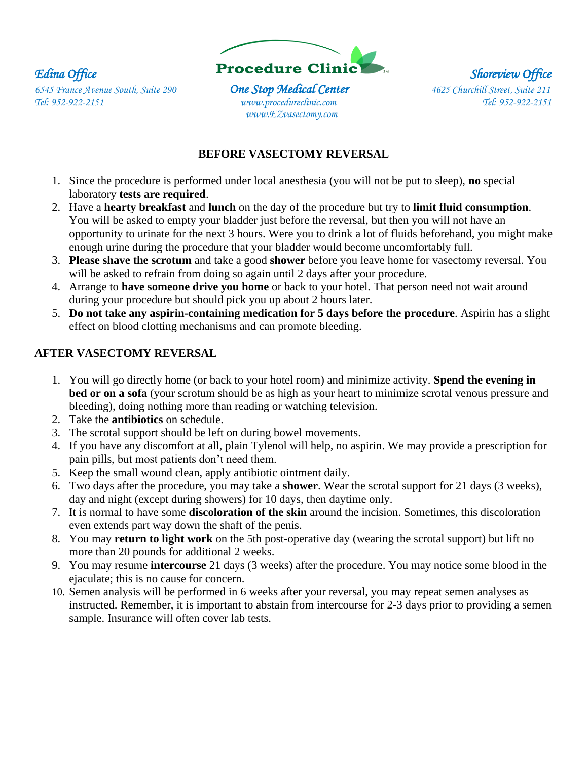

 *www.EZvasectomy.com* 

# **BEFORE VASECTOMY REVERSAL**

- 1. Since the procedure is performed under local anesthesia (you will not be put to sleep), **no** special laboratory **tests are required**.
- 2. Have a **hearty breakfast** and **lunch** on the day of the procedure but try to **limit fluid consumption**. You will be asked to empty your bladder just before the reversal, but then you will not have an opportunity to urinate for the next 3 hours. Were you to drink a lot of fluids beforehand, you might make enough urine during the procedure that your bladder would become uncomfortably full.
- 3. **Please shave the scrotum** and take a good **shower** before you leave home for vasectomy reversal. You will be asked to refrain from doing so again until 2 days after your procedure.
- 4. Arrange to **have someone drive you home** or back to your hotel. That person need not wait around during your procedure but should pick you up about 2 hours later.
- 5. **Do not take any aspirin-containing medication for 5 days before the procedure**. Aspirin has a slight effect on blood clotting mechanisms and can promote bleeding.

# **AFTER VASECTOMY REVERSAL**

- 1. You will go directly home (or back to your hotel room) and minimize activity. **Spend the evening in bed or on a sofa** (your scrotum should be as high as your heart to minimize scrotal venous pressure and bleeding), doing nothing more than reading or watching television.
- 2. Take the **antibiotics** on schedule.
- 3. The scrotal support should be left on during bowel movements.
- 4. If you have any discomfort at all, plain Tylenol will help, no aspirin. We may provide a prescription for pain pills, but most patients don't need them.
- 5. Keep the small wound clean, apply antibiotic ointment daily.
- 6. Two days after the procedure, you may take a **shower**. Wear the scrotal support for 21 days (3 weeks), day and night (except during showers) for 10 days, then daytime only.
- 7. It is normal to have some **discoloration of the skin** around the incision. Sometimes, this discoloration even extends part way down the shaft of the penis.
- 8. You may **return to light work** on the 5th post-operative day (wearing the scrotal support) but lift no more than 20 pounds for additional 2 weeks.
- 9. You may resume **intercourse** 21 days (3 weeks) after the procedure. You may notice some blood in the ejaculate; this is no cause for concern.
- 10. Semen analysis will be performed in 6 weeks after your reversal, you may repeat semen analyses as instructed. Remember, it is important to abstain from intercourse for 2-3 days prior to providing a semen sample. Insurance will often cover lab tests.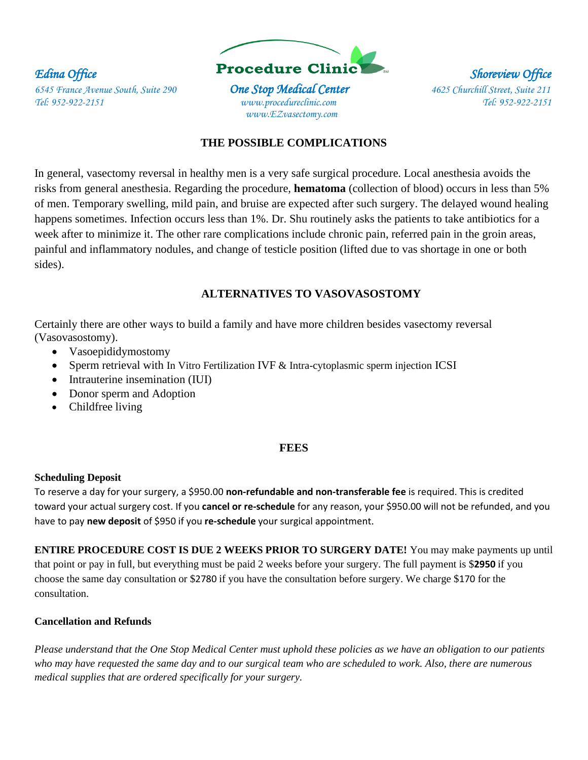

 *www.EZvasectomy.com* 

## **THE POSSIBLE COMPLICATIONS**

In general, vasectomy reversal in healthy men is a very safe surgical procedure. Local anesthesia avoids the risks from general anesthesia. Regarding the procedure, **hematoma** (collection of blood) occurs in less than 5% of men. Temporary swelling, mild pain, and bruise are expected after such surgery. The delayed wound healing happens sometimes. Infection occurs less than 1%. Dr. Shu routinely asks the patients to take antibiotics for a week after to minimize it. The other rare complications include chronic pain, referred pain in the groin areas, painful and inflammatory nodules, and change of testicle position (lifted due to vas shortage in one or both sides).

## **ALTERNATIVES TO VASOVASOSTOMY**

Certainly there are other ways to build a family and have more children besides vasectomy reversal (Vasovasostomy).

- Vasoepididymostomy
- Sperm retrieval with In Vitro Fertilization IVF & Intra-cytoplasmic sperm injection ICSI
- Intrauterine insemination (IUI)
- Donor sperm and Adoption
- Childfree living

#### **FEES**

#### **Scheduling Deposit**

To reserve a day for your surgery, a \$950.00 **non-refundable and non-transferable fee** is required. This is credited toward your actual surgery cost. If you **cancel or re-schedule** for any reason, your \$950.00 will not be refunded, and you have to pay **new deposit** of \$950 if you **re-schedule** your surgical appointment.

**ENTIRE PROCEDURE COST IS DUE 2 WEEKS PRIOR TO SURGERY DATE!** You may make payments up until that point or pay in full, but everything must be paid 2 weeks before your surgery. The full payment is \$**2950** if you choose the same day consultation or \$2780 if you have the consultation before surgery. We charge \$170 for the consultation.

#### **Cancellation and Refunds**

*Please understand that the One Stop Medical Center must uphold these policies as we have an obligation to our patients who may have requested the same day and to our surgical team who are scheduled to work. Also, there are numerous medical supplies that are ordered specifically for your surgery.*